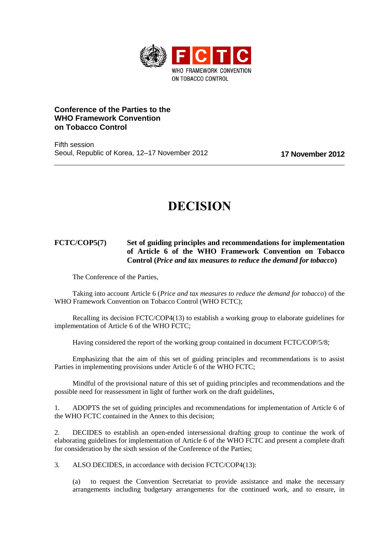

# **Conference of the Parties to the WHO Framework Convention on Tobacco Control**

Fifth session Seoul, Republic of Korea, 12–17 November 2012 **17 November 2012**

# **DECISION**

# **FCTC/COP5(7) Set of guiding principles and recommendations for implementation of Article 6 of the WHO Framework Convention on Tobacco Control (***Price and tax measures to reduce the demand for tobacco***)**

The Conference of the Parties,

Taking into account Article 6 (*Price and tax measures to reduce the demand for tobacco*) of the WHO Framework Convention on Tobacco Control (WHO FCTC);

Recalling its decision FCTC/COP4(13) to establish a working group to elaborate guidelines for implementation of Article 6 of the WHO FCTC;

Having considered the report of the working group contained in document FCTC/COP/5/8;

Emphasizing that the aim of this set of guiding principles and recommendations is to assist Parties in implementing provisions under Article 6 of the WHO FCTC;

Mindful of the provisional nature of this set of guiding principles and recommendations and the possible need for reassessment in light of further work on the draft guidelines,

1. ADOPTS the set of guiding principles and recommendations for implementation of Article 6 of the WHO FCTC contained in the Annex to this decision;

2. DECIDES to establish an open-ended intersessional drafting group to continue the work of elaborating guidelines for implementation of Article 6 of the WHO FCTC and present a complete draft for consideration by the sixth session of the Conference of the Parties;

3. ALSO DECIDES, in accordance with decision FCTC/COP4(13):

(a) to request the Convention Secretariat to provide assistance and make the necessary arrangements including budgetary arrangements for the continued work, and to ensure, in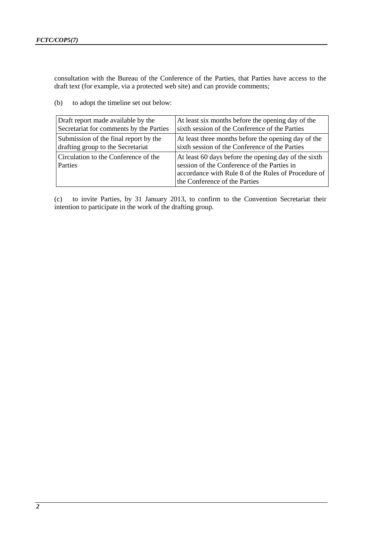consultation with the Bureau of the Conference of the Parties, that Parties have access to the draft text (for example, via a protected web site) and can provide comments;

(b) to adopt the timeline set out below:

| Draft report made available by the              | At least six months before the opening day of the                                                                                                                                           |
|-------------------------------------------------|---------------------------------------------------------------------------------------------------------------------------------------------------------------------------------------------|
| Secretariat for comments by the Parties         | sixth session of the Conference of the Parties                                                                                                                                              |
| Submission of the final report by the           | At least three months before the opening day of the                                                                                                                                         |
| drafting group to the Secretariat               | sixth session of the Conference of the Parties                                                                                                                                              |
| Circulation to the Conference of the<br>Parties | At least 60 days before the opening day of the sixth<br>session of the Conference of the Parties in<br>accordance with Rule 8 of the Rules of Procedure of<br>the Conference of the Parties |

(c) to invite Parties, by 31 January 2013, to confirm to the Convention Secretariat their intention to participate in the work of the drafting group.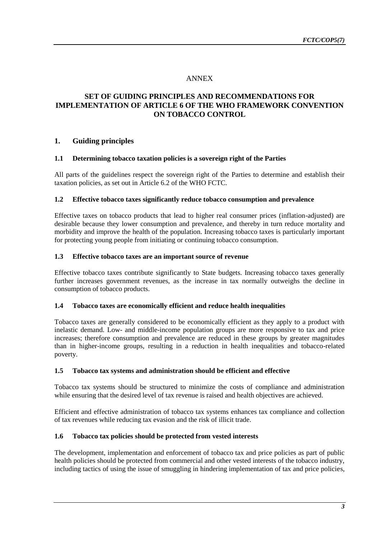# ANNEX

# **SET OF GUIDING PRINCIPLES AND RECOMMENDATIONS FOR IMPLEMENTATION OF ARTICLE 6 OF THE WHO FRAMEWORK CONVENTION ON TOBACCO CONTROL**

## **1. Guiding principles**

## **1.1 Determining tobacco taxation policies is a sovereign right of the Parties**

All parts of the guidelines respect the sovereign right of the Parties to determine and establish their taxation policies, as set out in Article 6.2 of the WHO FCTC.

#### **1.2 Effective tobacco taxes significantly reduce tobacco consumption and prevalence**

Effective taxes on tobacco products that lead to higher real consumer prices (inflation-adjusted) are desirable because they lower consumption and prevalence, and thereby in turn reduce mortality and morbidity and improve the health of the population. Increasing tobacco taxes is particularly important for protecting young people from initiating or continuing tobacco consumption.

## **1.3 Effective tobacco taxes are an important source of revenue**

Effective tobacco taxes contribute significantly to State budgets. Increasing tobacco taxes generally further increases government revenues, as the increase in tax normally outweighs the decline in consumption of tobacco products.

#### **1.4 Tobacco taxes are economically efficient and reduce health inequalities**

Tobacco taxes are generally considered to be economically efficient as they apply to a product with inelastic demand. Low- and middle-income population groups are more responsive to tax and price increases; therefore consumption and prevalence are reduced in these groups by greater magnitudes than in higher-income groups, resulting in a reduction in health inequalities and tobacco-related poverty.

#### **1.5 Tobacco tax systems and administration should be efficient and effective**

Tobacco tax systems should be structured to minimize the costs of compliance and administration while ensuring that the desired level of tax revenue is raised and health objectives are achieved.

Efficient and effective administration of tobacco tax systems enhances tax compliance and collection of tax revenues while reducing tax evasion and the risk of illicit trade.

## **1.6 Tobacco tax policies should be protected from vested interests**

The development, implementation and enforcement of tobacco tax and price policies as part of public health policies should be protected from commercial and other vested interests of the tobacco industry, including tactics of using the issue of smuggling in hindering implementation of tax and price policies,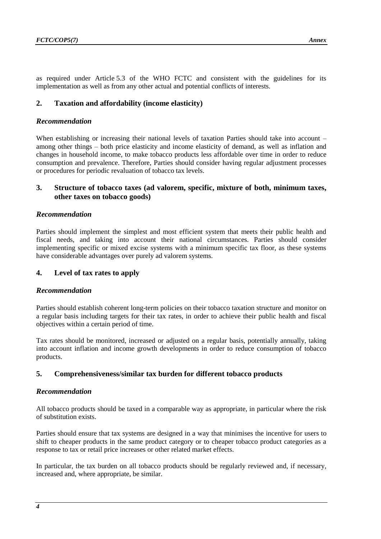as required under Article 5.3 of the WHO FCTC and consistent with the guidelines for its implementation as well as from any other actual and potential conflicts of interests.

## **2. Taxation and affordability (income elasticity)**

#### *Recommendation*

When establishing or increasing their national levels of taxation Parties should take into account – among other things – both price elasticity and income elasticity of demand, as well as inflation and changes in household income, to make tobacco products less affordable over time in order to reduce consumption and prevalence. Therefore, Parties should consider having regular adjustment processes or procedures for periodic revaluation of tobacco tax levels.

## **3. Structure of tobacco taxes (ad valorem, specific, mixture of both, minimum taxes, other taxes on tobacco goods)**

#### *Recommendation*

Parties should implement the simplest and most efficient system that meets their public health and fiscal needs, and taking into account their national circumstances. Parties should consider implementing specific or mixed excise systems with a minimum specific tax floor, as these systems have considerable advantages over purely ad valorem systems.

## **4. Level of tax rates to apply**

#### *Recommendation*

Parties should establish coherent long-term policies on their tobacco taxation structure and monitor on a regular basis including targets for their tax rates, in order to achieve their public health and fiscal objectives within a certain period of time.

Tax rates should be monitored, increased or adjusted on a regular basis, potentially annually, taking into account inflation and income growth developments in order to reduce consumption of tobacco products.

#### **5. Comprehensiveness/similar tax burden for different tobacco products**

#### *Recommendation*

All tobacco products should be taxed in a comparable way as appropriate, in particular where the risk of substitution exists.

Parties should ensure that tax systems are designed in a way that minimises the incentive for users to shift to cheaper products in the same product category or to cheaper tobacco product categories as a response to tax or retail price increases or other related market effects.

In particular, the tax burden on all tobacco products should be regularly reviewed and, if necessary, increased and, where appropriate, be similar.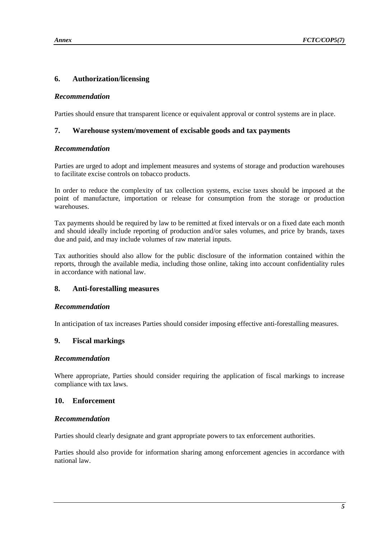# **6. Authorization/licensing**

#### *Recommendation*

Parties should ensure that transparent licence or equivalent approval or control systems are in place.

## **7. Warehouse system/movement of excisable goods and tax payments**

## *Recommendation*

Parties are urged to adopt and implement measures and systems of storage and production warehouses to facilitate excise controls on tobacco products.

In order to reduce the complexity of tax collection systems, excise taxes should be imposed at the point of manufacture, importation or release for consumption from the storage or production warehouses.

Tax payments should be required by law to be remitted at fixed intervals or on a fixed date each month and should ideally include reporting of production and/or sales volumes, and price by brands, taxes due and paid, and may include volumes of raw material inputs.

Tax authorities should also allow for the public disclosure of the information contained within the reports, through the available media, including those online, taking into account confidentiality rules in accordance with national law.

## **8. Anti-forestalling measures**

## *Recommendation*

In anticipation of tax increases Parties should consider imposing effective anti-forestalling measures.

## **9. Fiscal markings**

#### *Recommendation*

Where appropriate, Parties should consider requiring the application of fiscal markings to increase compliance with tax laws.

#### **10. Enforcement**

#### *Recommendation*

Parties should clearly designate and grant appropriate powers to tax enforcement authorities.

Parties should also provide for information sharing among enforcement agencies in accordance with national law.